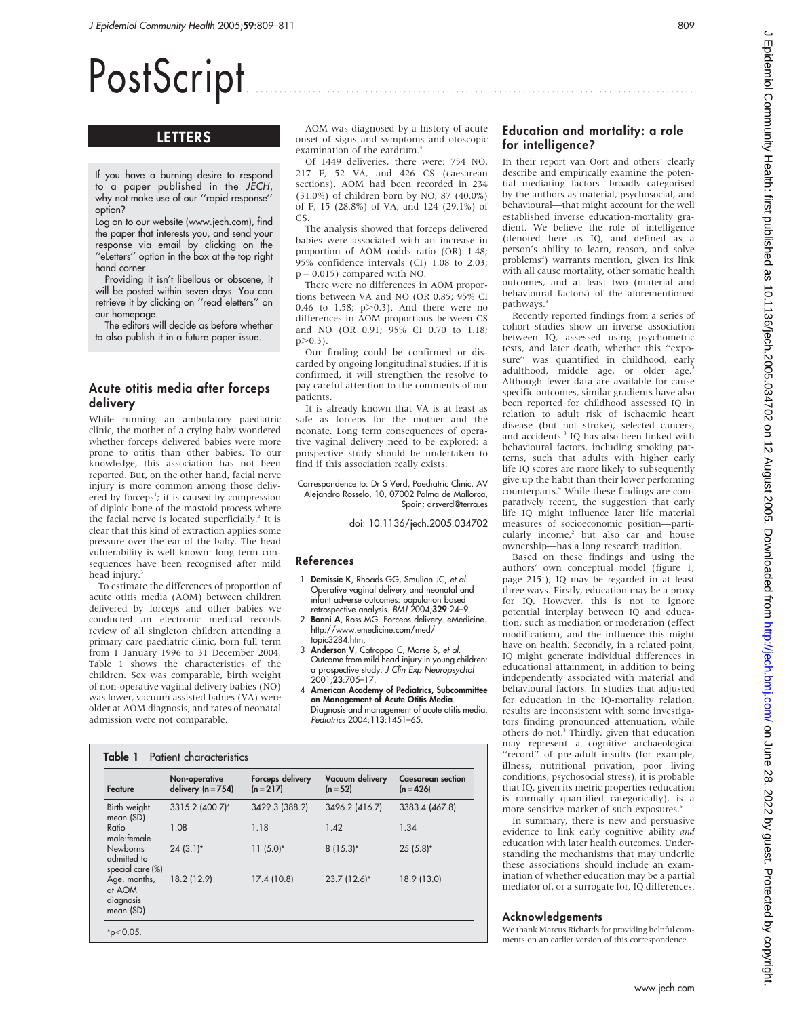# PostScript

# LETTERS

If you have a burning desire to respond to a paper published in the JECH, why not make use of our ''rapid response'' option?

Log on to our website (www.jech.com), find the paper that interests you, and send your response via email by clicking on the ''eLetters'' option in the box at the top right hand corner.

Providing it isn't libellous or obscene, it will be posted within seven days. You can retrieve it by clicking on ''read eletters'' on our homepage.

The editors will decide as before whether to also publish it in a future paper issue.

#### Acute otitis media after forceps delivery

While running an ambulatory paediatric clinic, the mother of a crying baby wondered whether forceps delivered babies were more prone to otitis than other babies. To our knowledge, this association has not been reported. But, on the other hand, facial nerve injury is more common among those delivered by forceps<sup>1</sup>; it is caused by compression of diploic bone of the mastoid process where the facial nerve is located superficially.<sup>2</sup> It is clear that this kind of extraction applies some pressure over the ear of the baby. The head vulnerability is well known: long term consequences have been recognised after mild head injury.<sup>3</sup>

To estimate the differences of proportion of acute otitis media (AOM) between children delivered by forceps and other babies we conducted an electronic medical records review of all singleton children attending a primary care paediatric clinic, born full term from 1 January 1996 to 31 December 2004. Table 1 shows the characteristics of the children. Sex was comparable, birth weight of non-operative vaginal delivery babies (NO) was lower, vacuum assisted babies (VA) were older at AOM diagnosis, and rates of neonatal admission were not comparable.

Table 1 Patient characteristics

AOM was diagnosed by a history of acute onset of signs and symptoms and otoscopic examination of the eardrum.<sup>4</sup>

Of 1449 deliveries, there were: 754 NO, 217 F, 52 VA, and 426 CS (caesarean sections). AOM had been recorded in 234 (31.0%) of children born by NO, 87 (40.0%) of F, 15 (28.8%) of VA, and 124 (29.1%) of CS.

The analysis showed that forceps delivered babies were associated with an increase in proportion of AOM (odds ratio (OR) 1.48; 95% confidence intervals (CI) 1.08 to 2.03;  $p = 0.015$ ) compared with NO.

There were no differences in AOM proportions between VA and NO (OR 0.85; 95% CI 0.46 to 1.58;  $p>0.3$ ). And there were no differences in AOM proportions between CS and NO (OR 0.91; 95% CI 0.70 to 1.18;  $p > 0.3$ ).

Our finding could be confirmed or discarded by ongoing longitudinal studies. If it is confirmed, it will strengthen the resolve to pay careful attention to the comments of our patients.

It is already known that VA is at least as safe as forceps for the mother and the neonate. Long term consequences of operative vaginal delivery need to be explored: a prospective study should be undertaken to find if this association really exists.

#### Correspondence to: Dr S Verd, Paediatric Clinic, AV Alejandro Rosselo, 10, 07002 Palma de Mallorca, Spain; drsverd@terra.es

doi: 10.1136/jech.2005.034702

#### References

- 1 Demissie K, Rhoads GG, Smulian JC, et al. Operative vaginal delivery and neonatal and infant adverse outcomes: population based retrospective analysis. BMJ 2004;329:24-9.
- 2 Bonni A, Ross MG. Forceps delivery. eMedicine http://www.emedicine.com/med/ topic3284.htm.
- 3 Anderson V, Catroppa C, Morse S, et al. Outcome from mild head injury in young children: a prospective study. J Clin Exp Neuropsychol 2001;23:705–17.
- 4 American Academy of Pediatrics, Subcommittee on Management of Acute Otitis Media. Diagnosis and management of acute otitis media. Pediatrics 2004;113:1451–65.

| Feature                                            | Non-operative<br>delivery $(n = 754)$ | Forceps delivery<br>$(n = 217)$ | Vacuum delivery<br>$(n = 52)$ | <b>Caesarean section</b><br>$(n = 426)$ |
|----------------------------------------------------|---------------------------------------|---------------------------------|-------------------------------|-----------------------------------------|
| Birth weight<br>mean (SD)                          | 3315.2 (400.7)*                       | 3429.3 (388.2)                  | 3496.2 (416.7)                | 3383.4 (467.8)                          |
| Ratio<br>male:female                               | 1.08                                  | 1.18                            | 1.42                          | 1.34                                    |
| <b>Newborns</b><br>admitted to<br>special care (%) | $24(3.1)$ *                           | $11(5.0)^*$                     | $8(15.3)*$                    | $25(5.8)$ *                             |
| Age, months,<br>at AOM<br>diagnosis<br>mean (SD)   | 18.2 (12.9)                           | 17.4 (10.8)                     | 23.7 (12.6)*                  | 18.9 (13.0)                             |

## Education and mortality: a role for intelligence?

In their report van Oort and others<sup>1</sup> clearly describe and empirically examine the potential mediating factors—broadly categorised by the authors as material, psychosocial, and behavioural—that might account for the well established inverse education-mortality gradient. We believe the role of intelligence (denoted here as IQ, and defined as a person's ability to learn, reason, and solve problems<sup>2</sup>) warrants mention, given its link with all cause mortality, other somatic health outcomes, and at least two (material and behavioural factors) of the aforementioned pathways.<sup>3</sup>

Recently reported findings from a series of cohort studies show an inverse association between IQ, assessed using psychometric tests, and later death, whether this ''exposure'' was quantified in childhood, early adulthood, middle age, or older age.<sup>3</sup> Although fewer data are available for cause specific outcomes, similar gradients have also been reported for childhood assessed IQ in relation to adult risk of ischaemic heart disease (but not stroke), selected cancers, and accidents.<sup>3</sup> IQ has also been linked with behavioural factors, including smoking patterns, such that adults with higher early life IQ scores are more likely to subsequently give up the habit than their lower performing counterparts.<sup>4</sup> While these findings are comparatively recent, the suggestion that early life IQ might influence later life material measures of socioeconomic position—particularly income,<sup>2</sup> but also car and house ownership—has a long research tradition.

Based on these findings and using the authors' own conceptual model (figure 1; page 215<sup>1</sup>), IQ may be regarded in at least three ways. Firstly, education may be a proxy for IQ. However, this is not to ignore potential interplay between IQ and education, such as mediation or moderation (effect modification), and the influence this might have on health. Secondly, in a related point, IQ might generate individual differences in educational attainment, in addition to being independently associated with material and behavioural factors. In studies that adjusted for education in the IQ-mortality relation, results are inconsistent with some investigators finding pronounced attenuation, while others do not.<sup>3</sup> Thirdly, given that education may represent a cognitive archaeological "record" of pre-adult insults (for example, illness, nutritional privation, poor living conditions, psychosocial stress), it is probable that IQ, given its metric properties (education is normally quantified categorically), is a more sensitive marker of such exposures.<sup>5</sup>

In summary, there is new and persuasive evidence to link early cognitive ability and education with later health outcomes. Understanding the mechanisms that may underlie these associations should include an examination of whether education may be a partial mediator of, or a surrogate for, IQ differences.

#### Acknowledgements

We thank Marcus Richards for providing helpful comments on an earlier version of this correspondence.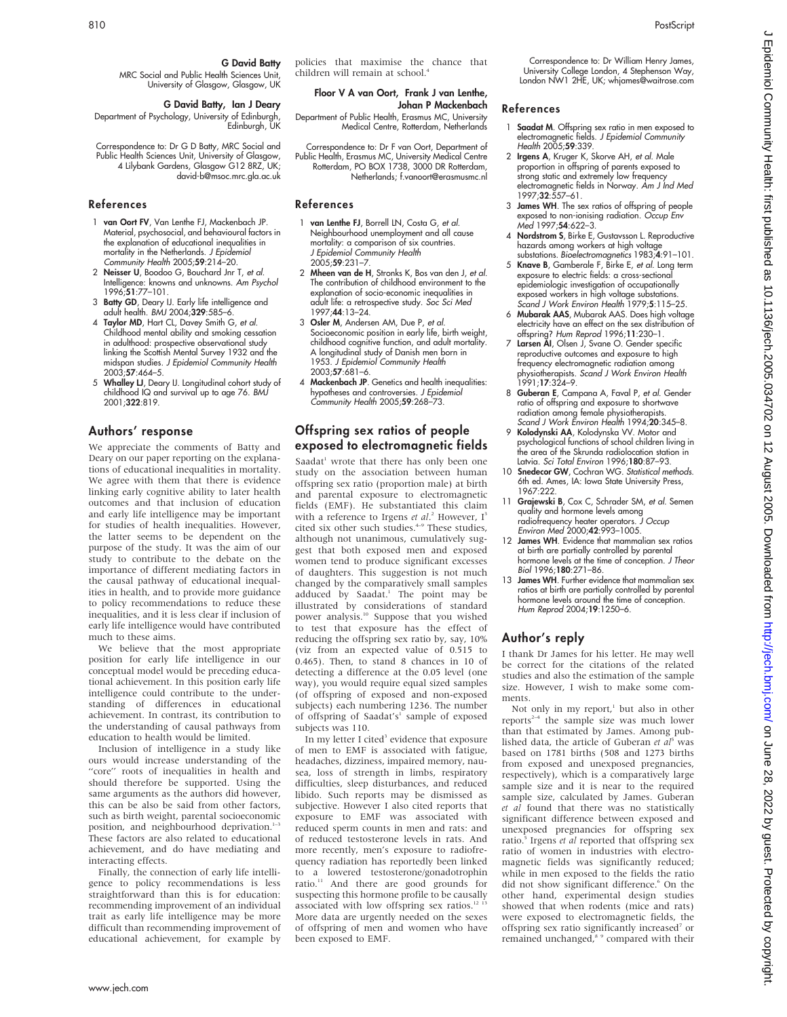interacting effects.

policies that maximise the chance that children will remain at school.4

#### Floor V A van Oort, Frank J van Lenthe, Johan P Mackenbach

Department of Public Health, Erasmus MC, University Medical Centre, Rotterdam, Netherlands

Correspondence to: Dr F van Oort, Department of Public Health, Erasmus MC, University Medical Centre Rotterdam, PO BOX 1738, 3000 DR Rotterdam, Netherlands; f.vanoort@erasmusmc.nl

## References

G David Batty

david-b@msoc.mrc.gla.ac.uk

MRC Social and Public Health Sciences Unit, University of Glasgow, Glasgow, UK G David Batty, Ian J Deary

Department of Psychology, University of Edinburgh, Edinburgh, UK Correspondence to: Dr G D Batty, MRC Social and Public Health Sciences Unit, University of Glasgow, 4 Lilybank Gardens, Glasgow G12 8RZ, UK;

1 van Oort FV, Van Lenthe FJ, Mackenbach JP. Material, psychosocial, and behavioural factors in the explanation of educational inequalities in mortality in the Netherlands. J Epidemiol Community Health  $2005;$ 59:214-20. 2 Neisser U, Boodoo G, Bouchard Jnr T, et al. Intelligence: knowns and unknowns. Am Psychol

3 Batty GD, Deary IJ. Early life intelligence and adult health. BMJ 2004;329:585–6. 4 Taylor MD, Hart CL, Davey Smith G, et al. Childhood mental ability and smoking cessation in adulthood: prospective observational study linking the Scottish Mental Survey 1932 and the midspan studies. J Epidemiol Community Health

5 Whalley LJ, Deary IJ. Longitudinal cohort study of childhood IQ and survival up to age 76. BMJ

We appreciate the comments of Batty and Deary on our paper reporting on the explanations of educational inequalities in mortality. We agree with them that there is evidence linking early cognitive ability to later health outcomes and that inclusion of education and early life intelligence may be important for studies of health inequalities. However, the latter seems to be dependent on the purpose of the study. It was the aim of our study to contribute to the debate on the importance of different mediating factors in the causal pathway of educational inequalities in health, and to provide more guidance to policy recommendations to reduce these inequalities, and it is less clear if inclusion of early life intelligence would have contributed

We believe that the most appropriate position for early life intelligence in our conceptual model would be preceding educational achievement. In this position early life intelligence could contribute to the understanding of differences in educational achievement. In contrast, its contribution to the understanding of causal pathways from education to health would be limited. Inclusion of intelligence in a study like ours would increase understanding of the "core" roots of inequalities in health and should therefore be supported. Using the same arguments as the authors did however, this can be also be said from other factors, such as birth weight, parental socioeconomic position, and neighbourhood deprivation.<sup>1</sup> These factors are also related to educational achievement, and do have mediating and

Finally, the connection of early life intelligence to policy recommendations is less straightforward than this is for education: recommending improvement of an individual

- 1 van Lenthe FJ, Borrell LN, Costa G, et al. Neighbourhood unemployment and all cause mortality: a comparison of six countries. J Epidemiol Community Health 2005;59:231–7.
- 2 Mheen van de H, Stronks K, Bos van den J, et al. The contribution of childhood environment to the explanation of socio-economic inequalities in adult life: a retrospective study. Soc Sci Med 1997;44:13–24.
- 3 Osler M, Andersen AM, Due P, et al. Socioeconomic position in early life, birth weight, childhood cognitive function, and adult mortality. A longitudinal study of Danish men born in 1953. J Epidemiol Community Health 2003;57:681–6.
- 4 Mackenbach JP. Genetics and health inequalities: hypotheses and controversies. J Epidemiol  $Commuty$  Health 2005;59:268-73.

## Offspring sex ratios of people exposed to electromagnetic fields

Saadat<sup>1</sup> wrote that there has only been one study on the association between human offspring sex ratio (proportion male) at birth and parental exposure to electromagnetic fields (EMF). He substantiated this claim with a reference to Irgens et al.<sup>2</sup> However, I<sup>3</sup> cited six other such studies.<sup>4-9</sup> These studies, although not unanimous, cumulatively suggest that both exposed men and exposed women tend to produce significant excesses of daughters. This suggestion is not much changed by the comparatively small samples adduced by Saadat.<sup>1</sup> The point may be illustrated by considerations of standard power analysis.<sup>10</sup> Suppose that you wished to test that exposure has the effect of reducing the offspring sex ratio by, say, 10% (viz from an expected value of 0.515 to 0.465). Then, to stand 8 chances in 10 of detecting a difference at the 0.05 level (one way), you would require equal sized samples (of offspring of exposed and non-exposed subjects) each numbering 1236. The number of offspring of Saadat's<sup>1</sup> sample of exposed subjects was 110.

In my letter I cited<sup>3</sup> evidence that exposure of men to EMF is associated with fatigue, headaches, dizziness, impaired memory, nausea, loss of strength in limbs, respiratory difficulties, sleep disturbances, and reduced libido. Such reports may be dismissed as subjective. However I also cited reports that exposure to EMF was associated with reduced sperm counts in men and rats: and of reduced testosterone levels in rats. And more recently, men's exposure to radiofrequency radiation has reportedly been linked to a lowered testosterone/gonadotrophin ratio.<sup>11</sup> And there are good grounds for suspecting this hormone profile to be causally associated with low offspring sex ratios.<sup>12 13</sup> More data are urgently needed on the sexes of offspring of men and women who have been exposed to EMF.

Correspondence to: Dr William Henry James, University College London, 4 Stephenson Way, London NW1 2HE, UK; whjames@waitrose.com

## References

- 1 Saadat M. Offspring sex ratio in men exposed to electromagnetic fields. J Epidemiol Community Health 2005;**59**:339.
- 2 Irgens A, Kruger K, Skorve AH, et al. Male proportion in offspring of parents exposed to strong static and extremely low frequency electromagnetic fields in Norway. Am J Ind Med 1997;32:557–61.
- 3 James WH. The sex ratios of offspring of people exposed to non-ionising radiation. Occup Env Med 1997;54:622–3.
- 4 **Nordstrom S**, Birke E, Gustavsson L. Reproductive hazards among workers at high voltage substations. Bioelectromagnetics 1983;4:91–101.
- 5 Knave B, Gamberale F, Birke E, et al. Long term exposure to electric fields: a cross-sectional epidemiologic investigation of occupationally exposed workers in high voltage substations. Scand J Work Environ Health 1979;5:115-25.
- 6 Mubarak AAS, Mubarak AAS. Does high voltage electricity have an effect on the sex distribution of
- offspring? *Hum Reprod* 1996;11:230–1.<br>7 **Larsen AI**, Olsen J, Svane O. Gender specific reproductive outcomes and exposure to high frequency electromagnetic radiation among physiotherapists. Scand J Work Environ Health 1991;17:324–9.
- 8 Guberan E, Campana A, Faval P, et al. Gender ratio of offspring and exposure to shortwave radiation among female physiotherapists. Scand J Work Environ Health 1994;20:345–8.
- 9 Kolodynski AA, Kolodynska VV. Motor and psychological functions of school children living in the area of the Skrunda radiolocation station in Latvia. Sci Total Environ 1996;180:87-93.
- 10 **Snedecor GW**, Cochran WG. Statistical methods. 6th ed. Ames, IA: Iowa State University Press, 1967:222.
- 11 Grajewski B, Cox C, Schrader SM, et al. Semen quality and hormone levels among radiofrequency heater operators. J Occup Environ Med 2000;42:993–1005.
- 12 James WH. Evidence that mammalian sex ratios at birth are partially controlled by parental hormone levels at the time of conception. J Theor Biol 1996;180:271–86.
- 13 James WH. Further evidence that mammalian sex ratios at birth are partially controlled by parental hormone levels around the time of conception. Hum Reprod 2004;19:1250–6.

## Author's reply

I thank Dr James for his letter. He may well be correct for the citations of the related studies and also the estimation of the sample size. However, I wish to make some comments.

Not only in my report, $\lambda$  but also in other reports<sup>2-4</sup> the sample size was much lower than that estimated by James. Among published data, the article of Guberan et  $aI^5$  was based on 1781 births (508 and 1273 births from exposed and unexposed pregnancies, respectively), which is a comparatively large sample size and it is near to the required sample size, calculated by James. Guberan et al found that there was no statistically significant difference between exposed and unexposed pregnancies for offspring sex ratio.<sup>5</sup> Irgens et al reported that offspring sex ratio of women in industries with electromagnetic fields was significantly reduced; while in men exposed to the fields the ratio did not show significant difference.<sup>6</sup> On the other hand, experimental design studies showed that when rodents (mice and rats) were exposed to electromagnetic fields, the offspring sex ratio significantly increased<sup>7</sup> or remained unchanged,<sup>8</sup> <sup>9</sup> compared with their

References

1996;51:77–101.

2003;57:464–5.

2001;322:819.

much to these aims.

Authors' response